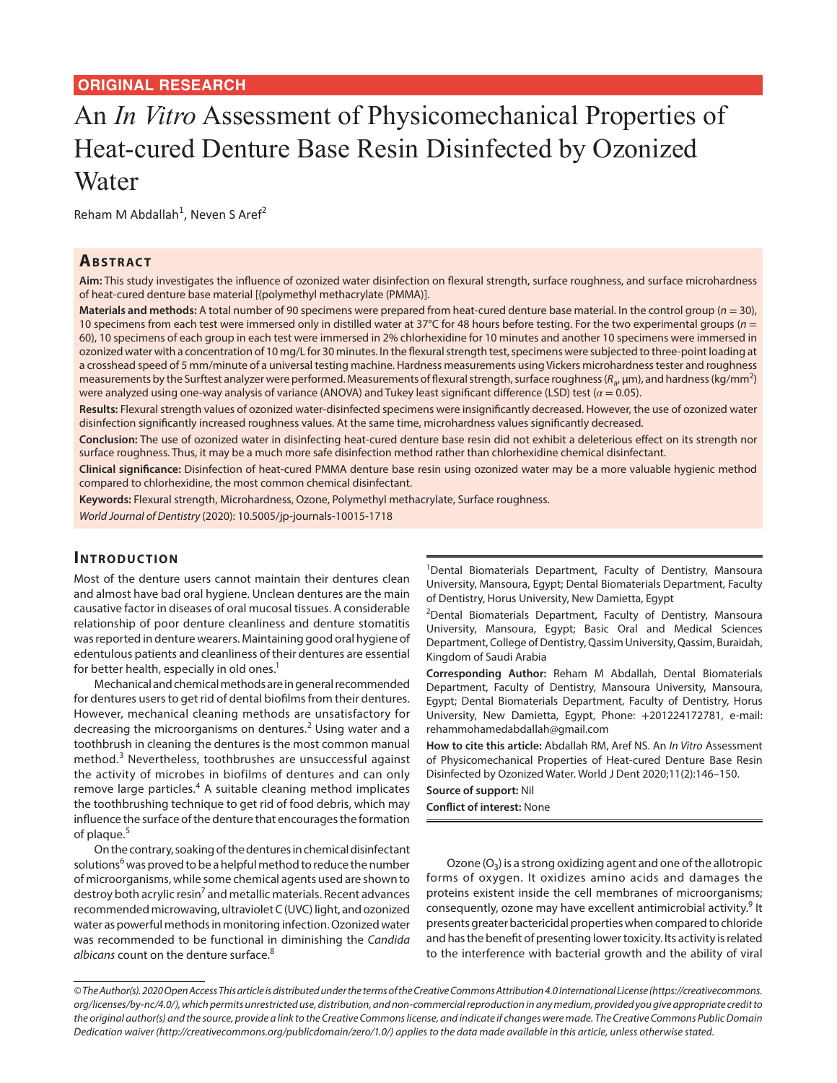# **ORIGINAL RESEARCH**

# An *In Vitro* Assessment of Physicomechanical Properties of Heat-cured Denture Base Resin Disinfected by Ozonized Water

Reham M Abdallah<sup>1</sup>, Neven S Aref<sup>2</sup>

## **ABSTRACT**

**Aim:** This study investigates the influence of ozonized water disinfection on flexural strength, surface roughness, and surface microhardness of heat-cured denture base material [(polymethyl methacrylate (PMMA)].

**Materials and methods:** A total number of 90 specimens were prepared from heat-cured denture base material. In the control group (*n* = 30), 10 specimens from each test were immersed only in distilled water at 37°C for 48 hours before testing. For the two experimental groups (*n* = 60), 10 specimens of each group in each test were immersed in 2% chlorhexidine for 10 minutes and another 10 specimens were immersed in ozonized water with a concentration of 10 mg/L for 30 minutes. In the flexural strength test, specimens were subjected to three-point loading at a crosshead speed of 5 mm/minute of a universal testing machine. Hardness measurements using Vickers microhardness tester and roughness measurements by the Surftest analyzer were performed. Measurements of flexural strength, surface roughness (R<sub>a</sub>, μm), and hardness (kg/mm<sup>2</sup>) were analyzed using one-way analysis of variance (ANOVA) and Tukey least significant difference (LSD) test (*α* = 0.05).

**Results:** Flexural strength values of ozonized water-disinfected specimens were insignificantly decreased. However, the use of ozonized water disinfection significantly increased roughness values. At the same time, microhardness values significantly decreased.

**Conclusion:** The use of ozonized water in disinfecting heat-cured denture base resin did not exhibit a deleterious effect on its strength nor surface roughness. Thus, it may be a much more safe disinfection method rather than chlorhexidine chemical disinfectant.

**Clinical significance:** Disinfection of heat-cured PMMA denture base resin using ozonized water may be a more valuable hygienic method compared to chlorhexidine, the most common chemical disinfectant.

**Keywords:** Flexural strength, Microhardness, Ozone, Polymethyl methacrylate, Surface roughness.

*World Journal of Dentistry* (2020): 10.5005/jp-journals-10015-1718

# **INTRODUCTION**

Most of the denture users cannot maintain their dentures clean and almost have bad oral hygiene. Unclean dentures are the main causative factor in diseases of oral mucosal tissues. A considerable relationship of poor denture cleanliness and denture stomatitis was reported in denture wearers. Maintaining good oral hygiene of edentulous patients and cleanliness of their dentures are essential for better health, especially in old ones.<sup>1</sup>

Mechanical and chemical methods are in general recommended for dentures users to get rid of dental biofilms from their dentures. However, mechanical cleaning methods are unsatisfactory for decreasing the microorganisms on dentures. $2$  Using water and a toothbrush in cleaning the dentures is the most common manual method.<sup>3</sup> Nevertheless, toothbrushes are unsuccessful against the activity of microbes in biofilms of dentures and can only remove large particles.<sup>4</sup> A suitable cleaning method implicates the toothbrushing technique to get rid of food debris, which may influence the surface of the denture that encourages the formation of plaque.<sup>5</sup>

On the contrary, soaking of the dentures in chemical disinfectant solutions<sup>6</sup> was proved to be a helpful method to reduce the number of microorganisms, while some chemical agents used are shown to destroy both acrylic resin<sup>7</sup> and metallic materials. Recent advances recommended microwaving, ultraviolet C (UVC) light, and ozonized water as powerful methods in monitoring infection. Ozonized water was recommended to be functional in diminishing the *Candida albicans* count on the denture surface.<sup>8</sup>

<sup>1</sup>Dental Biomaterials Department, Faculty of Dentistry, Mansoura University, Mansoura, Egypt; Dental Biomaterials Department, Faculty of Dentistry, Horus University, New Damietta, Egypt

<sup>2</sup>Dental Biomaterials Department, Faculty of Dentistry, Mansoura University, Mansoura, Egypt; Basic Oral and Medical Sciences Department, College of Dentistry, Qassim University, Qassim, Buraidah, Kingdom of Saudi Arabia

**Corresponding Author:** Reham M Abdallah, Dental Biomaterials Department, Faculty of Dentistry, Mansoura University, Mansoura, Egypt; Dental Biomaterials Department, Faculty of Dentistry, Horus University, New Damietta, Egypt, Phone: +201224172781, e-mail: rehammohamedabdallah@gmail.com

**How to cite this article:** Abdallah RM, Aref NS. An *In Vitro* Assessment of Physicomechanical Properties of Heat-cured Denture Base Resin Disinfected by Ozonized Water. World J Dent 2020;11(2):146–150.

**Source of support:** Nil

**Conflict of interest:** None

Ozone  $(O_3)$  is a strong oxidizing agent and one of the allotropic forms of oxygen. It oxidizes amino acids and damages the proteins existent inside the cell membranes of microorganisms; consequently, ozone may have excellent antimicrobial activity.<sup>9</sup> It presents greater bactericidal properties when compared to chloride and has the benefit of presenting lower toxicity. Its activity is related to the interference with bacterial growth and the ability of viral

*<sup>©</sup> The Author(s). 2020 Open Access This article is distributed under the terms of the Creative Commons Attribution 4.0 International License (https://creativecommons. org/licenses/by-nc/4.0/), which permits unrestricted use, distribution, and non-commercial reproduction in any medium, provided you give appropriate credit to the original author(s) and the source, provide a link to the Creative Commons license, and indicate if changes were made. The Creative Commons Public Domain Dedication waiver (http://creativecommons.org/publicdomain/zero/1.0/) applies to the data made available in this article, unless otherwise stated.*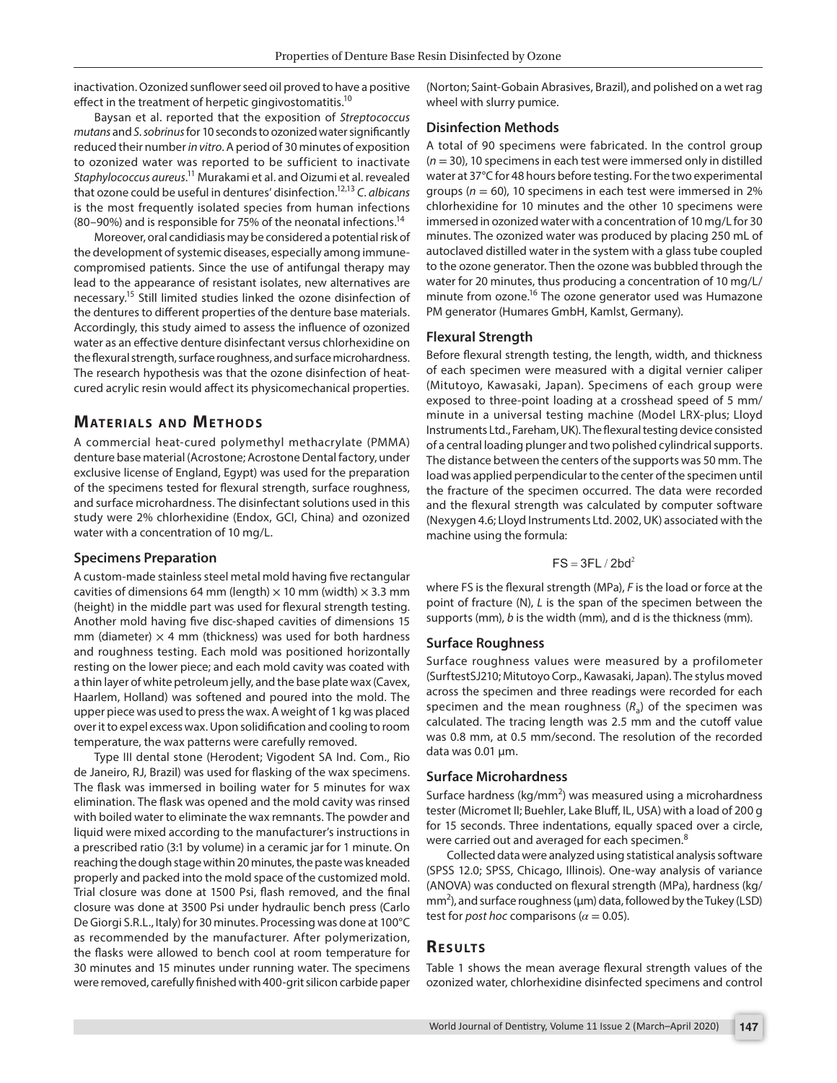inactivation. Ozonized sunflower seed oil proved to have a positive effect in the treatment of herpetic gingivostomatitis.<sup>10</sup>

Baysan et al. reported that the exposition of *Streptococcus mutans* and *S. sobrinus* for 10 seconds to ozonized water significantly reduced their number *in vitro*. A period of 30 minutes of exposition to ozonized water was reported to be sufficient to inactivate *Staphylococcus aureus*. 11 Murakami et al. and Oizumi et al. revealed that ozone could be useful in dentures' disinfection.12,13 *C. albicans* is the most frequently isolated species from human infections (80–90%) and is responsible for 75% of the neonatal infections.14

Moreover, oral candidiasis may be considered a potential risk of the development of systemic diseases, especially among immunecompromised patients. Since the use of antifungal therapy may lead to the appearance of resistant isolates, new alternatives are necessary.15 Still limited studies linked the ozone disinfection of the dentures to different properties of the denture base materials. Accordingly, this study aimed to assess the influence of ozonized water as an effective denture disinfectant versus chlorhexidine on the flexural strength, surface roughness, and surface microhardness. The research hypothesis was that the ozone disinfection of heatcured acrylic resin would affect its physicomechanical properties.

## **MATERIALS AND METHODS**

A commercial heat-cured polymethyl methacrylate (PMMA) denture base material (Acrostone; Acrostone Dental factory, under exclusive license of England, Egypt) was used for the preparation of the specimens tested for flexural strength, surface roughness, and surface microhardness. The disinfectant solutions used in this study were 2% chlorhexidine (Endox, GCI, China) and ozonized water with a concentration of 10 mg/L.

#### **Specimens Preparation**

A custom-made stainless steel metal mold having five rectangular cavities of dimensions 64 mm (length)  $\times$  10 mm (width)  $\times$  3.3 mm (height) in the middle part was used for flexural strength testing. Another mold having five disc-shaped cavities of dimensions 15 mm (diameter)  $\times$  4 mm (thickness) was used for both hardness and roughness testing. Each mold was positioned horizontally resting on the lower piece; and each mold cavity was coated with a thin layer of white petroleum jelly, and the base plate wax (Cavex, Haarlem, Holland) was softened and poured into the mold. The upper piece was used to press the wax. A weight of 1 kg was placed over it to expel excess wax. Upon solidification and cooling to room temperature, the wax patterns were carefully removed.

Type III dental stone (Herodent; Vigodent SA Ind. Com., Rio de Janeiro, RJ, Brazil) was used for flasking of the wax specimens. The flask was immersed in boiling water for 5 minutes for wax elimination. The flask was opened and the mold cavity was rinsed with boiled water to eliminate the wax remnants. The powder and liquid were mixed according to the manufacturer's instructions in a prescribed ratio (3:1 by volume) in a ceramic jar for 1 minute. On reaching the dough stage within 20 minutes, the paste was kneaded properly and packed into the mold space of the customized mold. Trial closure was done at 1500 Psi, flash removed, and the final closure was done at 3500 Psi under hydraulic bench press (Carlo De Giorgi S.R.L., Italy) for 30 minutes. Processing was done at 100°C as recommended by the manufacturer. After polymerization, the flasks were allowed to bench cool at room temperature for 30 minutes and 15 minutes under running water. The specimens were removed, carefully finished with 400-grit silicon carbide paper

(Norton; Saint-Gobain Abrasives, Brazil), and polished on a wet rag wheel with slurry pumice.

#### **Disinfection Methods**

A total of 90 specimens were fabricated. In the control group (*n* = 30), 10 specimens in each test were immersed only in distilled water at 37°C for 48 hours before testing. For the two experimental groups (*n* = 60), 10 specimens in each test were immersed in 2% chlorhexidine for 10 minutes and the other 10 specimens were immersed in ozonized water with a concentration of 10 mg/L for 30 minutes. The ozonized water was produced by placing 250 mL of autoclaved distilled water in the system with a glass tube coupled to the ozone generator. Then the ozone was bubbled through the water for 20 minutes, thus producing a concentration of 10 mg/L/ minute from ozone.<sup>16</sup> The ozone generator used was Humazone PM generator (Humares GmbH, Kamlst, Germany).

#### **Flexural Strength**

Before flexural strength testing, the length, width, and thickness of each specimen were measured with a digital vernier caliper (Mitutoyo, Kawasaki, Japan). Specimens of each group were exposed to three-point loading at a crosshead speed of 5 mm/ minute in a universal testing machine (Model LRX-plus; Lloyd Instruments Ltd., Fareham, UK). The flexural testing device consisted of a central loading plunger and two polished cylindrical supports. The distance between the centers of the supports was 50 mm. The load was applied perpendicular to the center of the specimen until the fracture of the specimen occurred. The data were recorded and the flexural strength was calculated by computer software (Nexygen 4.6; Lloyd Instruments Ltd. 2002, UK) associated with the machine using the formula:

### $FS = 3FL / 2bd<sup>2</sup>$

where FS is the flexural strength (MPa), *F* is the load or force at the point of fracture (N), *L* is the span of the specimen between the supports (mm), *b* is the width (mm), and d is the thickness (mm).

#### **Surface Roughness**

Surface roughness values were measured by a profilometer (SurftestSJ210; Mitutoyo Corp., Kawasaki, Japan). The stylus moved across the specimen and three readings were recorded for each specimen and the mean roughness  $(R<sub>a</sub>)$  of the specimen was calculated. The tracing length was 2.5 mm and the cutoff value was 0.8 mm, at 0.5 mm/second. The resolution of the recorded data was 0.01 μm.

#### **Surface Microhardness**

Surface hardness (kg/mm<sup>2</sup>) was measured using a microhardness tester (Micromet II; Buehler, Lake Bluff, IL, USA) with a load of 200 g for 15 seconds. Three indentations, equally spaced over a circle, were carried out and averaged for each specimen.<sup>8</sup>

Collected data were analyzed using statistical analysis software (SPSS 12.0; SPSS, Chicago, Illinois). One-way analysis of variance (ANOVA) was conducted on flexural strength (MPa), hardness (kg/  $mm<sup>2</sup>$ ), and surface roughness ( $\mu$ m) data, followed by the Tukey (LSD) test for *post hoc* comparisons ( $\alpha$  = 0.05).

#### **RESULTS**

Table 1 shows the mean average flexural strength values of the ozonized water, chlorhexidine disinfected specimens and control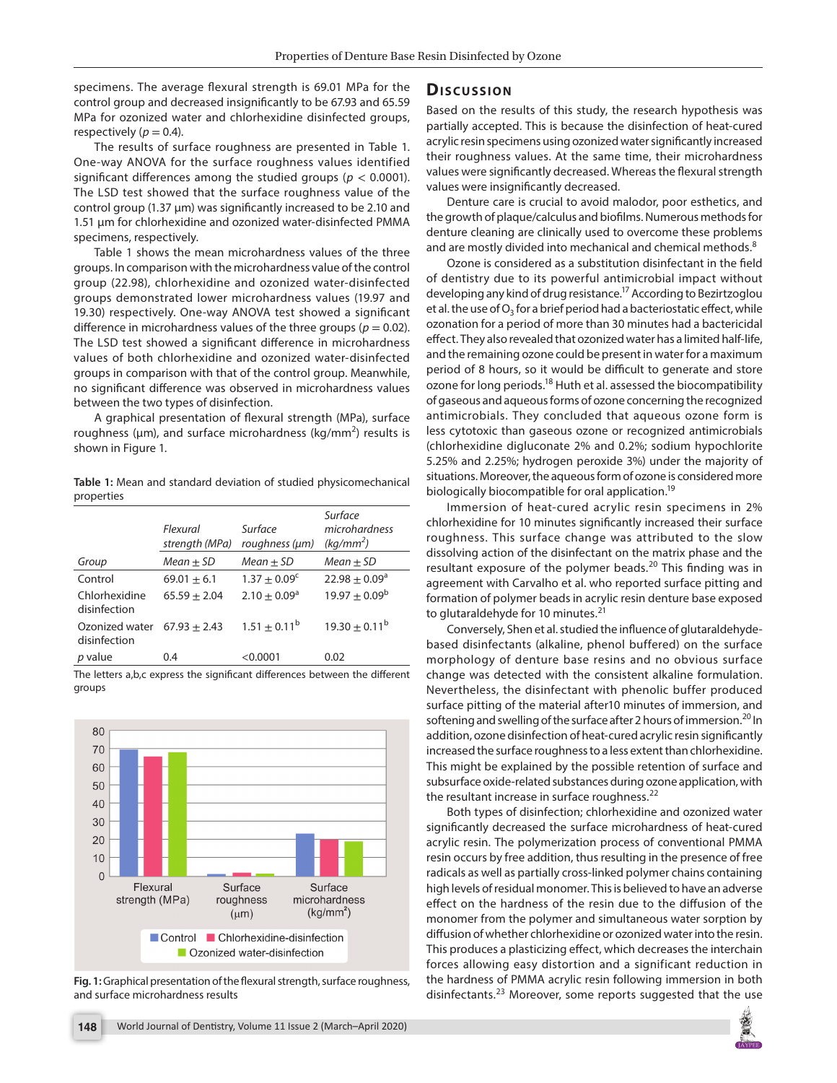specimens. The average flexural strength is 69.01 MPa for the control group and decreased insignificantly to be 67.93 and 65.59 MPa for ozonized water and chlorhexidine disinfected groups, respectively ( $p = 0.4$ ).

The results of surface roughness are presented in Table 1. One-way ANOVA for the surface roughness values identified significant differences among the studied groups ( $p < 0.0001$ ). The LSD test showed that the surface roughness value of the control group (1.37 μm) was significantly increased to be 2.10 and 1.51 μm for chlorhexidine and ozonized water-disinfected PMMA specimens, respectively.

Table 1 shows the mean microhardness values of the three groups. In comparison with the microhardness value of the control group (22.98), chlorhexidine and ozonized water-disinfected groups demonstrated lower microhardness values (19.97 and 19.30) respectively. One-way ANOVA test showed a significant difference in microhardness values of the three groups ( $p = 0.02$ ). The LSD test showed a significant difference in microhardness values of both chlorhexidine and ozonized water-disinfected groups in comparison with that of the control group. Meanwhile, no significant difference was observed in microhardness values between the two types of disinfection.

A graphical presentation of flexural strength (MPa), surface roughness ( $\mu$ m), and surface microhardness (kg/mm<sup>2</sup>) results is shown in Figure 1.

**Table 1:** Mean and standard deviation of studied physicomechanical properties

|                                | Flexural<br>strength (MPa) | Surface<br>roughness (um) | Surface<br>microhardness<br>$(kq/mm^2)$ |
|--------------------------------|----------------------------|---------------------------|-----------------------------------------|
| Group                          | $Mean + SD$                | $Mean + SD$               | $Mean + SD$                             |
| Control                        | $69.01 + 6.1$              | $1.37 + 0.09^{\circ}$     | $22.98 + 0.09^a$                        |
| Chlorhexidine<br>disinfection  | $65.59 + 2.04$             | $2.10 + 0.09^a$           | $19.97 + 0.09^{\rm b}$                  |
| Ozonized water<br>disinfection | $67.93 + 2.43$             | $1.51 + 0.11^b$           | $19.30 + 0.11^b$                        |
| p value                        | 0.4                        | $<$ 0.0001                | 0.02                                    |

The letters a,b,c express the significant differences between the different groups



**Fig. 1:** Graphical presentation of the flexural strength, surface roughness, and surface microhardness results

## **Dis c u s sio n**

Based on the results of this study, the research hypothesis was partially accepted. This is because the disinfection of heat-cured acrylic resin specimens using ozonized water significantly increased their roughness values. At the same time, their microhardness values were significantly decreased. Whereas the flexural strength values were insignificantly decreased.

Denture care is crucial to avoid malodor, poor esthetics, and the growth of plaque/calculus and biofilms. Numerous methods for denture cleaning are clinically used to overcome these problems and are mostly divided into mechanical and chemical methods.<sup>8</sup>

Ozone is considered as a substitution disinfectant in the field of dentistry due to its powerful antimicrobial impact without developing any kind of drug resistance.<sup>17</sup> According to Bezirtzoglou et al. the use of  $O_3$  for a brief period had a bacteriostatic effect, while ozonation for a period of more than 30 minutes had a bactericidal effect. They also revealed that ozonized water has a limited half-life, and the remaining ozone could be present in water for a maximum period of 8 hours, so it would be difficult to generate and store ozone for long periods.<sup>18</sup> Huth et al. assessed the biocompatibility of gaseous and aqueous forms of ozone concerning the recognized antimicrobials. They concluded that aqueous ozone form is less cytotoxic than gaseous ozone or recognized antimicrobials (chlorhexidine digluconate 2% and 0.2%; sodium hypochlorite 5.25% and 2.25%; hydrogen peroxide 3%) under the majority of situations. Moreover, the aqueous form of ozone is considered more biologically biocompatible for oral application.<sup>19</sup>

Immersion of heat-cured acrylic resin specimens in 2% chlorhexidine for 10 minutes significantly increased their surface roughness. This surface change was attributed to the slow dissolving action of the disinfectant on the matrix phase and the resultant exposure of the polymer beads.<sup>20</sup> This finding was in agreement with Carvalho et al. who reported surface pitting and formation of polymer beads in acrylic resin denture base exposed to glutaraldehyde for 10 minutes.<sup>21</sup>

Conversely, Shen et al. studied the influence of glutaraldehydebased disinfectants (alkaline, phenol buffered) on the surface morphology of denture base resins and no obvious surface change was detected with the consistent alkaline formulation. Nevertheless, the disinfectant with phenolic buffer produced surface pitting of the material after10 minutes of immersion, and softening and swelling of the surface after 2 hours of immersion.<sup>20</sup> In addition, ozone disinfection of heat-cured acrylic resin significantly increased the surface roughness to a less extent than chlorhexidine. This might be explained by the possible retention of surface and subsurface oxide-related substances during ozone application, with the resultant increase in surface roughness. $^{22}$ 

Both types of disinfection; chlorhexidine and ozonized water significantly decreased the surface microhardness of heat-cured acrylic resin. The polymerization process of conventional PMMA resin occurs by free addition, thus resulting in the presence of free radicals as well as partially cross-linked polymer chains containing high levels of residual monomer. This is believed to have an adverse effect on the hardness of the resin due to the diffusion of the monomer from the polymer and simultaneous water sorption by diffusion of whether chlorhexidine or ozonized water into the resin. This produces a plasticizing effect, which decreases the interchain forces allowing easy distortion and a significant reduction in the hardness of PMMA acrylic resin following immersion in both disinfectants.23 Moreover, some reports suggested that the use

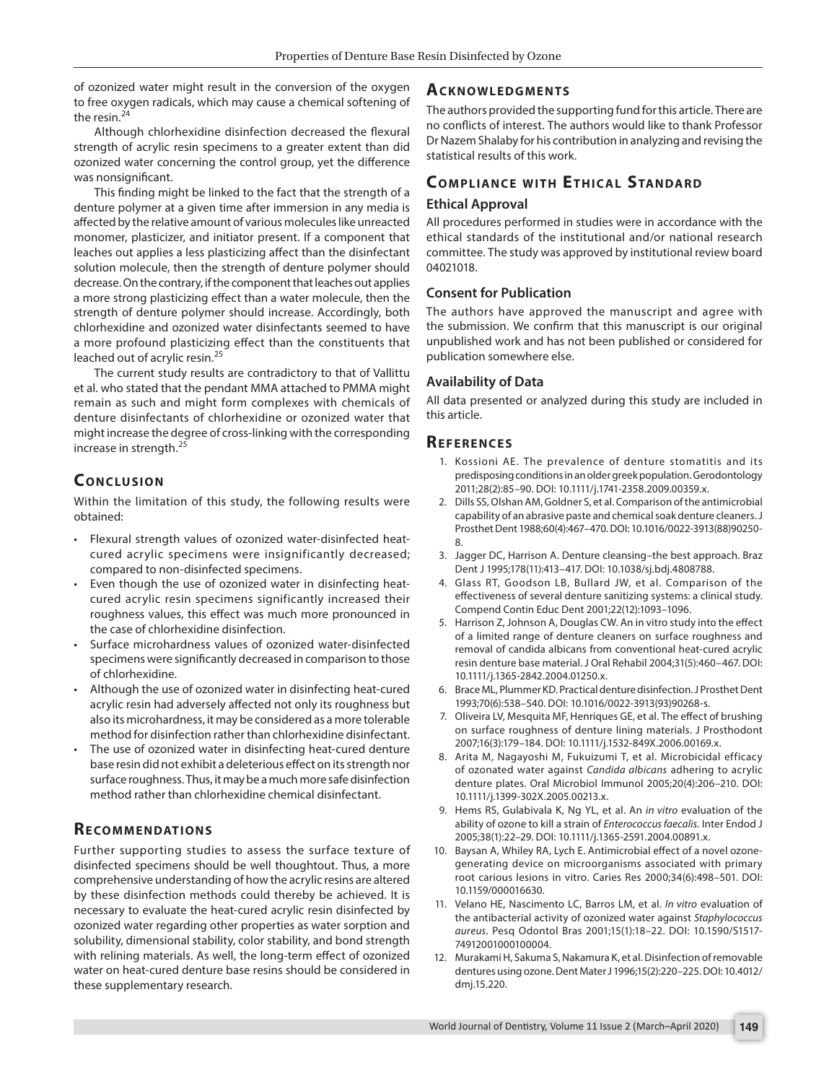of ozonized water might result in the conversion of the oxygen to free oxygen radicals, which may cause a chemical softening of the resin.<sup>24</sup>

Although chlorhexidine disinfection decreased the flexural strength of acrylic resin specimens to a greater extent than did ozonized water concerning the control group, yet the difference was nonsignificant.

This finding might be linked to the fact that the strength of a denture polymer at a given time after immersion in any media is affected by the relative amount of various molecules like unreacted monomer, plasticizer, and initiator present. If a component that leaches out applies a less plasticizing affect than the disinfectant solution molecule, then the strength of denture polymer should decrease. On the contrary, if the component that leaches out applies a more strong plasticizing effect than a water molecule, then the strength of denture polymer should increase. Accordingly, both chlorhexidine and ozonized water disinfectants seemed to have a more profound plasticizing effect than the constituents that leached out of acrylic resin.<sup>25</sup>

The current study results are contradictory to that of Vallittu et al. who stated that the pendant MMA attached to PMMA might remain as such and might form complexes with chemicals of denture disinfectants of chlorhexidine or ozonized water that might increase the degree of cross-linking with the corresponding increase in strength.<sup>25</sup>

# **CONCLUSION**

Within the limitation of this study, the following results were obtained:

- Flexural strength values of ozonized water-disinfected heatcured acrylic specimens were insignificantly decreased; compared to non-disinfected specimens.
- Even though the use of ozonized water in disinfecting heatcured acrylic resin specimens significantly increased their roughness values, this effect was much more pronounced in the case of chlorhexidine disinfection.
- Surface microhardness values of ozonized water-disinfected specimens were significantly decreased in comparison to those of chlorhexidine.
- Although the use of ozonized water in disinfecting heat-cured acrylic resin had adversely affected not only its roughness but also its microhardness, it may be considered as a more tolerable method for disinfection rather than chlorhexidine disinfectant.
- The use of ozonized water in disinfecting heat-cured denture base resin did not exhibit a deleterious effect on its strength nor surface roughness. Thus, it may be a much more safe disinfection method rather than chlorhexidine chemical disinfectant.

# **RECOMMENDATIONS**

Further supporting studies to assess the surface texture of disinfected specimens should be well thoughtout. Thus, a more comprehensive understanding of how the acrylic resins are altered by these disinfection methods could thereby be achieved. It is necessary to evaluate the heat-cured acrylic resin disinfected by ozonized water regarding other properties as water sorption and solubility, dimensional stability, color stability, and bond strength with relining materials. As well, the long-term effect of ozonized water on heat-cured denture base resins should be considered in these supplementary research.

# **Ac k n ow l e d gme n ts**

The authors provided the supporting fund for this article. There are no conflicts of interest. The authors would like to thank Professor Dr Nazem Shalaby for his contribution in analyzing and revising the statistical results of this work.

# **COMPLIANCE WITH ETHICAL STANDARD**

# **Ethical Approval**

All procedures performed in studies were in accordance with the ethical standards of the institutional and/or national research committee. The study was approved by institutional review board 04021018.

# **Consent for Publication**

The authors have approved the manuscript and agree with the submission. We confirm that this manuscript is our original unpublished work and has not been published or considered for publication somewhere else.

# **Availability of Data**

All data presented or analyzed during this study are included in this article.

# **REFERENCES**

- 1. Kossioni AE. The prevalence of denture stomatitis and its predisposing conditions in an older greek population. Gerodontology 2011;28(2):85–90. DOI: 10.1111/j.1741-2358.2009.00359.x.
- 2. Dills SS, Olshan AM, Goldner S, et al. Comparison of the antimicrobial capability of an abrasive paste and chemical soak denture cleaners. J Prosthet Dent 1988;60(4):467–470. DOI: 10.1016/0022-3913(88)90250- 8.
- 3. Jagger DC, Harrison A. Denture cleansing–the best approach. Braz Dent J 1995;178(11):413–417. DOI: 10.1038/sj.bdj.4808788.
- 4. Glass RT, Goodson LB, Bullard JW, et al. Comparison of the effectiveness of several denture sanitizing systems: a clinical study. Compend Contin Educ Dent 2001;22(12):1093–1096.
- 5. Harrison Z, Johnson A, Douglas CW. An in vitro study into the effect of a limited range of denture cleaners on surface roughness and removal of candida albicans from conventional heat-cured acrylic resin denture base material. J Oral Rehabil 2004;31(5):460–467. DOI: 10.1111/j.1365-2842.2004.01250.x.
- 6. Brace ML, Plummer KD. Practical denture disinfection. J Prosthet Dent 1993;70(6):538–540. DOI: 10.1016/0022-3913(93)90268-s.
- 7. Oliveira LV, Mesquita MF, Henriques GE, et al. The effect of brushing on surface roughness of denture lining materials. J Prosthodont 2007;16(3):179–184. DOI: 10.1111/j.1532-849X.2006.00169.x.
- 8. Arita M, Nagayoshi M, Fukuizumi T, et al. Microbicidal efficacy of ozonated water against *Candida albicans* adhering to acrylic denture plates. Oral Microbiol Immunol 2005;20(4):206–210. DOI: 10.1111/j.1399-302X.2005.00213.x.
- 9. Hems RS, Gulabivala K, Ng YL, et al. An *in vitro* evaluation of the ability of ozone to kill a strain of *Enterococcus faecalis.* Inter Endod J 2005;38(1):22–29. DOI: 10.1111/j.1365-2591.2004.00891.x.
- 10. Baysan A, Whiley RA, Lych E. Antimicrobial effect of a novel ozonegenerating device on microorganisms associated with primary root carious lesions in vitro. Caries Res 2000;34(6):498–501. DOI: 10.1159/000016630.
- 11. Velano HE, Nascimento LC, Barros LM, et al. *In vitro* evaluation of the antibacterial activity of ozonized water against *Staphylococcus aureus.* Pesq Odontol Bras 2001;15(1):18–22. DOI: 10.1590/S1517- 74912001000100004.
- 12. Murakami H, Sakuma S, Nakamura K, et al. Disinfection of removable dentures using ozone. Dent Mater J 1996;15(2):220–225. DOI: 10.4012/ dmj.15.220.